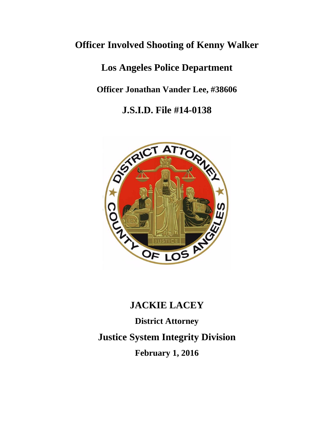## **Officer Involved Shooting of Kenny Walker**

**Los Angeles Police Department**

**Officer Jonathan Vander Lee, #38606**

**J.S.I.D. File #14-0138**



# **JACKIE LACEY**

**District Attorney Justice System Integrity Division February 1, 2016**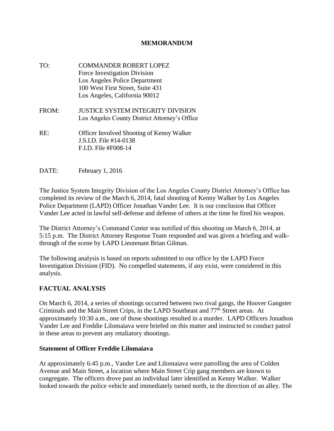#### **MEMORANDUM**

- TO: COMMANDER ROBERT LOPEZ Force Investigation Division Los Angeles Police Department 100 West First Street, Suite 431 Los Angeles, California 90012 FROM: JUSTICE SYSTEM INTEGRITY DIVISION Los Angeles County District Attorney's Office RE: Officer Involved Shooting of Kenny Walker J.S.I.D. File #14-0138 F.I.D. File #F008-14
- DATE: February 1, 2016

The Justice System Integrity Division of the Los Angeles County District Attorney's Office has completed its review of the March 6, 2014, fatal shooting of Kenny Walker by Los Angeles Police Department (LAPD) Officer Jonathan Vander Lee. It is our conclusion that Officer Vander Lee acted in lawful self-defense and defense of others at the time he fired his weapon.

The District Attorney's Command Center was notified of this shooting on March 6, 2014, at 5:15 p.m. The District Attorney Response Team responded and was given a briefing and walkthrough of the scene by LAPD Lieutenant Brian Gilman.

The following analysis is based on reports submitted to our office by the LAPD Force Investigation Division (FID). No compelled statements, if any exist, were considered in this analysis.

## **FACTUAL ANALYSIS**

On March 6, 2014, a series of shootings occurred between two rival gangs, the Hoover Gangster Criminals and the Main Street Crips, in the LAPD Southeast and 77th Street areas. At approximately 10:30 a.m., one of those shootings resulted in a murder. LAPD Officers Jonathon Vander Lee and Freddie Lilomaiava were briefed on this matter and instructed to conduct patrol in these areas to prevent any retaliatory shootings.

#### **Statement of Officer Freddie Lilomaiava**

At approximately 6:45 p.m., Vander Lee and Lilomaiava were patrolling the area of Colden Avenue and Main Street, a location where Main Street Crip gang members are known to congregate. The officers drove past an individual later identified as Kenny Walker. Walker looked towards the police vehicle and immediately turned north, in the direction of an alley. The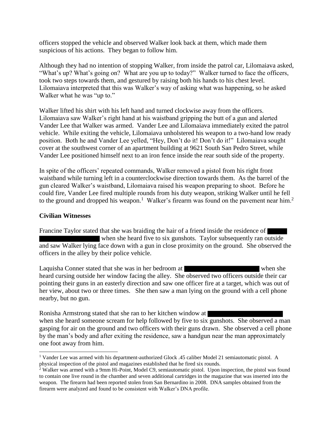officers stopped the vehicle and observed Walker look back at them, which made them suspicious of his actions. They began to follow him.

Although they had no intention of stopping Walker, from inside the patrol car, Lilomaiava asked, "What's up? What's going on? What are you up to today?" Walker turned to face the officers, took two steps towards them, and gestured by raising both his hands to his chest level. Lilomaiava interpreted that this was Walker's way of asking what was happening, so he asked Walker what he was "up to."

Walker lifted his shirt with his left hand and turned clockwise away from the officers. Lilomaiava saw Walker's right hand at his waistband gripping the butt of a gun and alerted Vander Lee that Walker was armed. Vander Lee and Lilomaiava immediately exited the patrol vehicle. While exiting the vehicle, Lilomaiava unholstered his weapon to a two-hand low ready position. Both he and Vander Lee yelled, "Hey, Don't do it! Don't do it!" Lilomaiava sought cover at the southwest corner of an apartment building at 9621 South San Pedro Street, while Vander Lee positioned himself next to an iron fence inside the rear south side of the property.

In spite of the officers' repeated commands, Walker removed a pistol from his right front waistband while turning left in a counterclockwise direction towards them. As the barrel of the gun cleared Walker's waistband, Lilomaiava raised his weapon preparing to shoot. Before he could fire, Vander Lee fired multiple rounds from his duty weapon, striking Walker until he fell to the ground and dropped his weapon.<sup>1</sup> Walker's firearm was found on the pavement near him.<sup>2</sup>

#### **Civilian Witnesses**

Francine Taylor stated that she was braiding the hair of a friend inside the residence of when she heard five to six gunshots. Taylor subsequently ran outside and saw Walker lying face down with a gun in close proximity on the ground. She observed the officers in the alley by their police vehicle.

Laquisha Conner stated that she was in her bedroom at when she when she heard cursing outside her window facing the alley. She observed two officers outside their car pointing their guns in an easterly direction and saw one officer fire at a target, which was out of her view, about two or three times. She then saw a man lying on the ground with a cell phone nearby, but no gun.

Ronisha Armstrong stated that she ran to her kitchen window at when she heard someone scream for help followed by five to six gunshots. She observed a man gasping for air on the ground and two officers with their guns drawn. She observed a cell phone by the man's body and after exiting the residence, saw a handgun near the man approximately one foot away from him.

 $\overline{a}$ <sup>1</sup> Vander Lee was armed with his department-authorized Glock .45 caliber Model 21 semiautomatic pistol. A physical inspection of the pistol and magazines established that he fired six rounds.

<sup>&</sup>lt;sup>2</sup> Walker was armed with a 9mm Hi-Point, Model C9, semiautomatic pistol. Upon inspection, the pistol was found to contain one live round in the chamber and seven additional cartridges in the magazine that was inserted into the weapon. The firearm had been reported stolen from San Bernardino in 2008. DNA samples obtained from the firearm were analyzed and found to be consistent with Walker's DNA profile.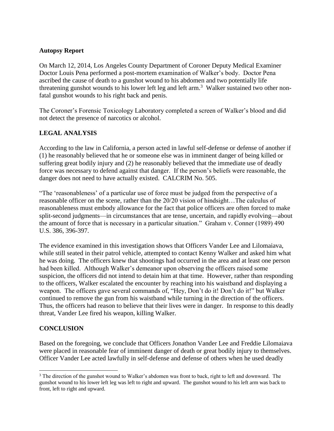### **Autopsy Report**

On March 12, 2014, Los Angeles County Department of Coroner Deputy Medical Examiner Doctor Louis Pena performed a post-mortem examination of Walker's body. Doctor Pena ascribed the cause of death to a gunshot wound to his abdomen and two potentially life threatening gunshot wounds to his lower left leg and left arm.<sup>3</sup> Walker sustained two other nonfatal gunshot wounds to his right back and penis.

The Coroner's Forensic Toxicology Laboratory completed a screen of Walker's blood and did not detect the presence of narcotics or alcohol.

## **LEGAL ANALYSIS**

According to the law in California, a person acted in lawful self-defense or defense of another if (1) he reasonably believed that he or someone else was in imminent danger of being killed or suffering great bodily injury and (2) he reasonably believed that the immediate use of deadly force was necessary to defend against that danger. If the person's beliefs were reasonable, the danger does not need to have actually existed. CALCRIM No. 505.

"The 'reasonableness' of a particular use of force must be judged from the perspective of a reasonable officer on the scene, rather than the 20/20 vision of hindsight…The calculus of reasonableness must embody allowance for the fact that police officers are often forced to make split-second judgments—in circumstances that are tense, uncertain, and rapidly evolving—about the amount of force that is necessary in a particular situation." Graham v. Conner (1989) 490 U.S. 386, 396-397.

The evidence examined in this investigation shows that Officers Vander Lee and Lilomaiava, while still seated in their patrol vehicle, attempted to contact Kenny Walker and asked him what he was doing. The officers knew that shootings had occurred in the area and at least one person had been killed. Although Walker's demeanor upon observing the officers raised some suspicion, the officers did not intend to detain him at that time. However, rather than responding to the officers, Walker escalated the encounter by reaching into his waistband and displaying a weapon. The officers gave several commands of, "Hey, Don't do it! Don't do it!" but Walker continued to remove the gun from his waistband while turning in the direction of the officers. Thus, the officers had reason to believe that their lives were in danger. In response to this deadly threat, Vander Lee fired his weapon, killing Walker.

## **CONCLUSION**

l

Based on the foregoing, we conclude that Officers Jonathon Vander Lee and Freddie Lilomaiava were placed in reasonable fear of imminent danger of death or great bodily injury to themselves. Officer Vander Lee acted lawfully in self-defense and defense of others when he used deadly

<sup>&</sup>lt;sup>3</sup> The direction of the gunshot wound to Walker's abdomen was front to back, right to left and downward. The gunshot wound to his lower left leg was left to right and upward. The gunshot wound to his left arm was back to front, left to right and upward.